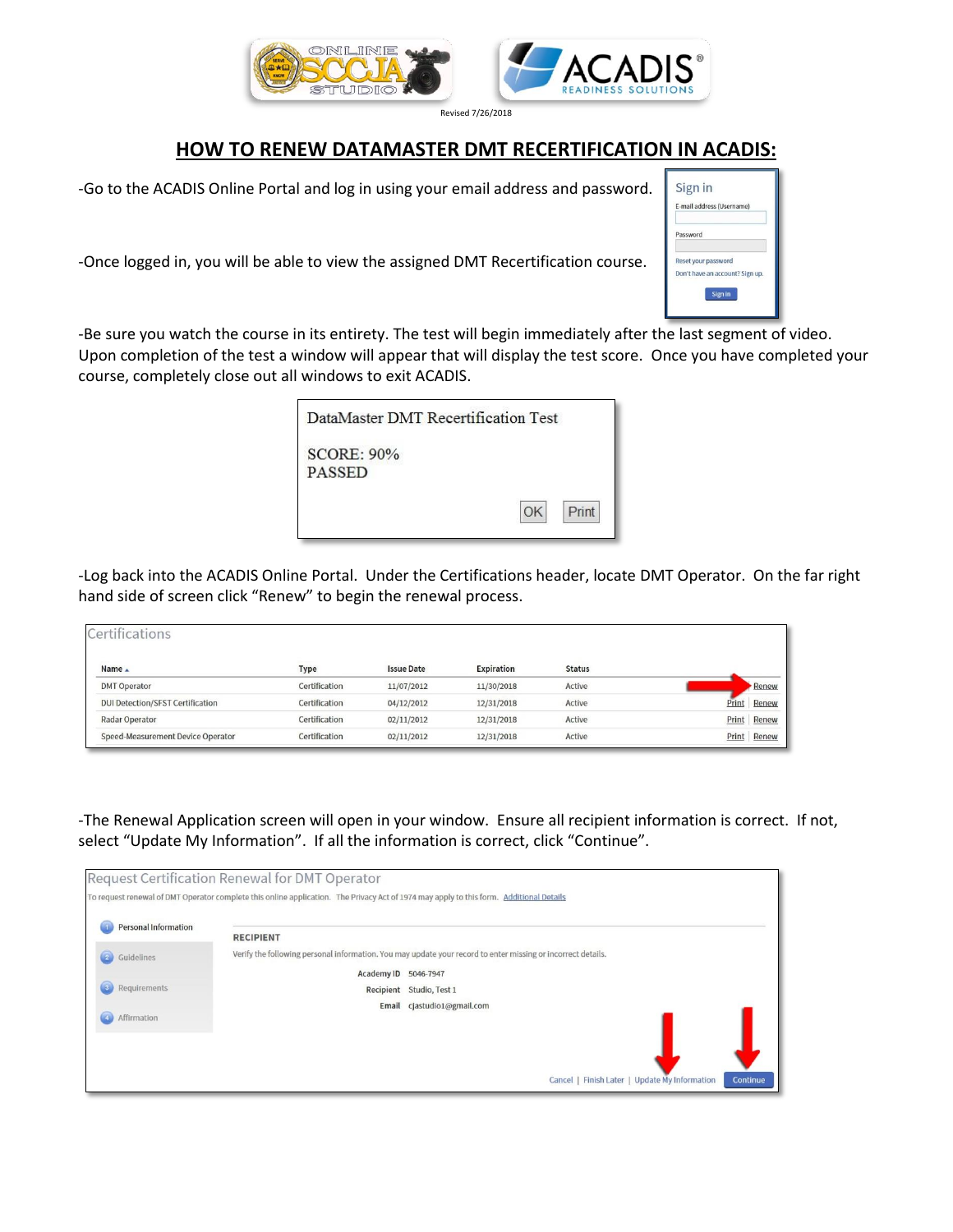

Revised 7/26/2018

## **HOW TO RENEW DATAMASTER DMT RECERTIFICATION IN ACADIS:**

-Go to the ACADIS Online Portal and log in using your email address and password.

-Once logged in, you will be able to view the assigned DMT Recertification course.



-Be sure you watch the course in its entirety. The test will begin immediately after the last segment of video. Upon completion of the test a window will appear that will display the test score. Once you have completed your course, completely close out all windows to exit ACADIS.

| DataMaster DMT Recertification Test |             |
|-------------------------------------|-------------|
| <b>SCORE: 90%</b><br><b>PASSED</b>  |             |
|                                     | Print<br>OK |

-Log back into the ACADIS Online Portal. Under the Certifications header, locate DMT Operator. On the far right hand side of screen click "Renew" to begin the renewal process.

| Certifications                          |               |                   |            |               |                |
|-----------------------------------------|---------------|-------------------|------------|---------------|----------------|
| Name _                                  | Type          | <b>Issue Date</b> | Expiration | <b>Status</b> |                |
| <b>DMT Operator</b>                     | Certification | 11/07/2012        | 11/30/2018 | Active        | <b>Renew</b>   |
| <b>DUI Detection/SFST Certification</b> | Certification | 04/12/2012        | 12/31/2018 | Active        | Renew<br>Print |
| Radar Operator                          | Certification | 02/11/2012        | 12/31/2018 | Active        | Renew<br>Print |
| Speed-Measurement Device Operator       | Certification | 02/11/2012        | 12/31/2018 | Active        | Print<br>Renew |

-The Renewal Application screen will open in your window. Ensure all recipient information is correct. If not, select "Update My Information". If all the information is correct, click "Continue".

|                                | Request Certification Renewal for DMT Operator                                                                                          |
|--------------------------------|-----------------------------------------------------------------------------------------------------------------------------------------|
|                                | To request renewal of DMT Operator complete this online application. The Privacy Act of 1974 may apply to this form. Additional Details |
| Personal Information           | <b>RECIPIENT</b>                                                                                                                        |
| $\boxed{2}$<br>Guidelines      | Verify the following personal information. You may update your record to enter missing or incorrect details.                            |
|                                | Academy ID 5046-7947                                                                                                                    |
| $\overline{3}$<br>Requirements | Recipient Studio, Test 1                                                                                                                |
| 4<br>Affirmation               | cjastudio1@gmail.com<br>Email                                                                                                           |
|                                | Cancel   Finish Later   Update My Information<br>Continue                                                                               |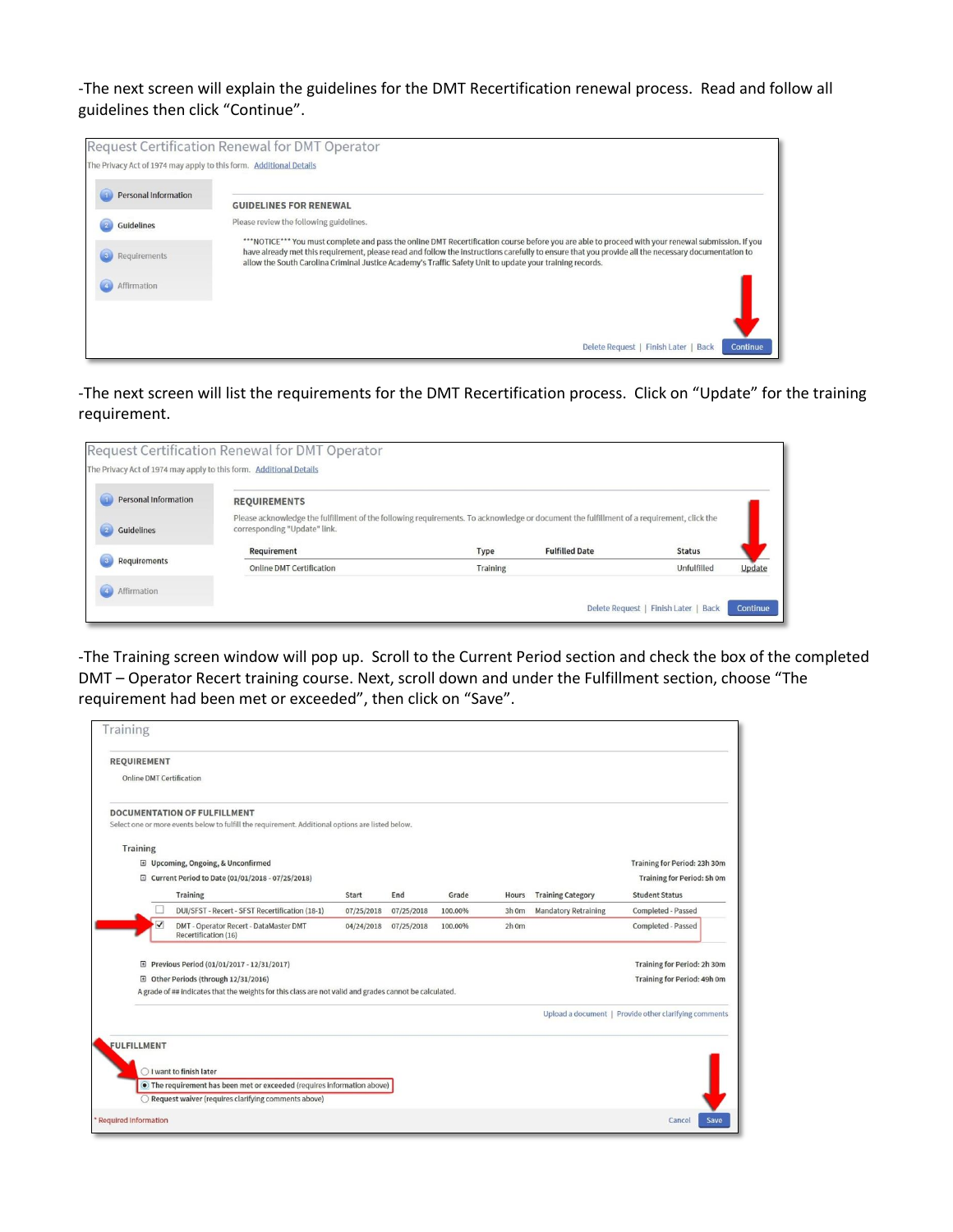-The next screen will explain the guidelines for the DMT Recertification renewal process. Read and follow all guidelines then click "Continue".

|                                                                    | Request Certification Renewal for DMT Operator                                                                                                                                                                                                                                                                                                                                                                      |
|--------------------------------------------------------------------|---------------------------------------------------------------------------------------------------------------------------------------------------------------------------------------------------------------------------------------------------------------------------------------------------------------------------------------------------------------------------------------------------------------------|
| The Privacy Act of 1974 may apply to this form. Additional Details |                                                                                                                                                                                                                                                                                                                                                                                                                     |
| <b>Personal Information</b>                                        | <b>GUIDELINES FOR RENEWAL</b>                                                                                                                                                                                                                                                                                                                                                                                       |
| Guidelines                                                         | Please review the following guidelines.                                                                                                                                                                                                                                                                                                                                                                             |
| Requirements                                                       | ***NOTICE*** You must complete and pass the online DMT Recertification course before you are able to proceed with your renewal submission. If you<br>have already met this requirement, please read and follow the instructions carefully to ensure that you provide all the necessary documentation to<br>allow the South Carolina Criminal Justice Academy's Traffic Safety Unit to update your training records. |
| Affirmation                                                        |                                                                                                                                                                                                                                                                                                                                                                                                                     |
|                                                                    |                                                                                                                                                                                                                                                                                                                                                                                                                     |
|                                                                    | Delete Request   Finish Later   Back<br>Continue                                                                                                                                                                                                                                                                                                                                                                    |

-The next screen will list the requirements for the DMT Recertification process. Click on "Update" for the training requirement.

| <b>Personal Information</b> | <b>REQUIREMENTS</b>                                                                                                                                                      |      |                       |               |  |
|-----------------------------|--------------------------------------------------------------------------------------------------------------------------------------------------------------------------|------|-----------------------|---------------|--|
| Guidelines                  | Please acknowledge the fulfillment of the following requirements. To acknowledge or document the fulfillment of a requirement, click the<br>corresponding "Update" link. |      |                       |               |  |
|                             | Requirement                                                                                                                                                              | Type | <b>Fulfilled Date</b> | <b>Status</b> |  |

-The Training screen window will pop up. Scroll to the Current Period section and check the box of the completed DMT – Operator Recert training course. Next, scroll down and under the Fulfillment section, choose "The requirement had been met or exceeded", then click on "Save".

| <b>Online DMT Certification</b><br><b>DOCUMENTATION OF FULFILLMENT</b><br>Select one or more events below to fulfill the requirement. Additional options are listed below.<br><b>Training</b><br>El Upcoming, Ongoing, & Unconfirmed<br>□ Current Period to Date (01/01/2018 - 07/25/2018)<br><b>Training Category</b><br>Training<br><b>Student Status</b><br>Start<br>End<br>Grade<br>Hours<br>DUI/SFST - Recert - SFST Recertification (18-1)<br><b>Mandatory Retraining</b><br>Completed - Passed<br>07/25/2018<br>07/25/2018<br>100.00%<br>3h 0m<br>$\checkmark$<br>Completed - Passed<br>DMT - Operator Recert - DataMaster DMT<br>$2h$ 0m<br>04/24/2018<br>07/25/2018<br>100.00%<br>Recertification (16)<br>Previous Period (01/01/2017 - 12/31/2017)<br>⊞<br>田 Other Periods (through 12/31/2016)<br>A grade of ## indicates that the weights for this class are not valid and grades cannot be calculated.<br>Upload a document   Provide other clarifying comments<br>○ I want to finish later<br>• The requirement has been met or exceeded (requires information above)<br>Request waiver (requires clarifying comments above) | <b>REQUIREMENT</b> |  |  |  |                                   |
|--------------------------------------------------------------------------------------------------------------------------------------------------------------------------------------------------------------------------------------------------------------------------------------------------------------------------------------------------------------------------------------------------------------------------------------------------------------------------------------------------------------------------------------------------------------------------------------------------------------------------------------------------------------------------------------------------------------------------------------------------------------------------------------------------------------------------------------------------------------------------------------------------------------------------------------------------------------------------------------------------------------------------------------------------------------------------------------------------------------------------------------------|--------------------|--|--|--|-----------------------------------|
|                                                                                                                                                                                                                                                                                                                                                                                                                                                                                                                                                                                                                                                                                                                                                                                                                                                                                                                                                                                                                                                                                                                                            |                    |  |  |  |                                   |
| <b>FULFILLMENT</b>                                                                                                                                                                                                                                                                                                                                                                                                                                                                                                                                                                                                                                                                                                                                                                                                                                                                                                                                                                                                                                                                                                                         |                    |  |  |  |                                   |
|                                                                                                                                                                                                                                                                                                                                                                                                                                                                                                                                                                                                                                                                                                                                                                                                                                                                                                                                                                                                                                                                                                                                            |                    |  |  |  |                                   |
|                                                                                                                                                                                                                                                                                                                                                                                                                                                                                                                                                                                                                                                                                                                                                                                                                                                                                                                                                                                                                                                                                                                                            |                    |  |  |  | Training for Period: 23h 30m      |
|                                                                                                                                                                                                                                                                                                                                                                                                                                                                                                                                                                                                                                                                                                                                                                                                                                                                                                                                                                                                                                                                                                                                            |                    |  |  |  | <b>Training for Period: 5h 0m</b> |
|                                                                                                                                                                                                                                                                                                                                                                                                                                                                                                                                                                                                                                                                                                                                                                                                                                                                                                                                                                                                                                                                                                                                            |                    |  |  |  |                                   |
|                                                                                                                                                                                                                                                                                                                                                                                                                                                                                                                                                                                                                                                                                                                                                                                                                                                                                                                                                                                                                                                                                                                                            |                    |  |  |  |                                   |
|                                                                                                                                                                                                                                                                                                                                                                                                                                                                                                                                                                                                                                                                                                                                                                                                                                                                                                                                                                                                                                                                                                                                            |                    |  |  |  |                                   |
|                                                                                                                                                                                                                                                                                                                                                                                                                                                                                                                                                                                                                                                                                                                                                                                                                                                                                                                                                                                                                                                                                                                                            |                    |  |  |  | Training for Period: 2h 30m       |
|                                                                                                                                                                                                                                                                                                                                                                                                                                                                                                                                                                                                                                                                                                                                                                                                                                                                                                                                                                                                                                                                                                                                            |                    |  |  |  | Training for Period: 49h 0m       |
|                                                                                                                                                                                                                                                                                                                                                                                                                                                                                                                                                                                                                                                                                                                                                                                                                                                                                                                                                                                                                                                                                                                                            |                    |  |  |  |                                   |
|                                                                                                                                                                                                                                                                                                                                                                                                                                                                                                                                                                                                                                                                                                                                                                                                                                                                                                                                                                                                                                                                                                                                            |                    |  |  |  |                                   |
|                                                                                                                                                                                                                                                                                                                                                                                                                                                                                                                                                                                                                                                                                                                                                                                                                                                                                                                                                                                                                                                                                                                                            |                    |  |  |  |                                   |
|                                                                                                                                                                                                                                                                                                                                                                                                                                                                                                                                                                                                                                                                                                                                                                                                                                                                                                                                                                                                                                                                                                                                            |                    |  |  |  |                                   |
|                                                                                                                                                                                                                                                                                                                                                                                                                                                                                                                                                                                                                                                                                                                                                                                                                                                                                                                                                                                                                                                                                                                                            |                    |  |  |  |                                   |
|                                                                                                                                                                                                                                                                                                                                                                                                                                                                                                                                                                                                                                                                                                                                                                                                                                                                                                                                                                                                                                                                                                                                            |                    |  |  |  |                                   |
|                                                                                                                                                                                                                                                                                                                                                                                                                                                                                                                                                                                                                                                                                                                                                                                                                                                                                                                                                                                                                                                                                                                                            |                    |  |  |  |                                   |
|                                                                                                                                                                                                                                                                                                                                                                                                                                                                                                                                                                                                                                                                                                                                                                                                                                                                                                                                                                                                                                                                                                                                            |                    |  |  |  |                                   |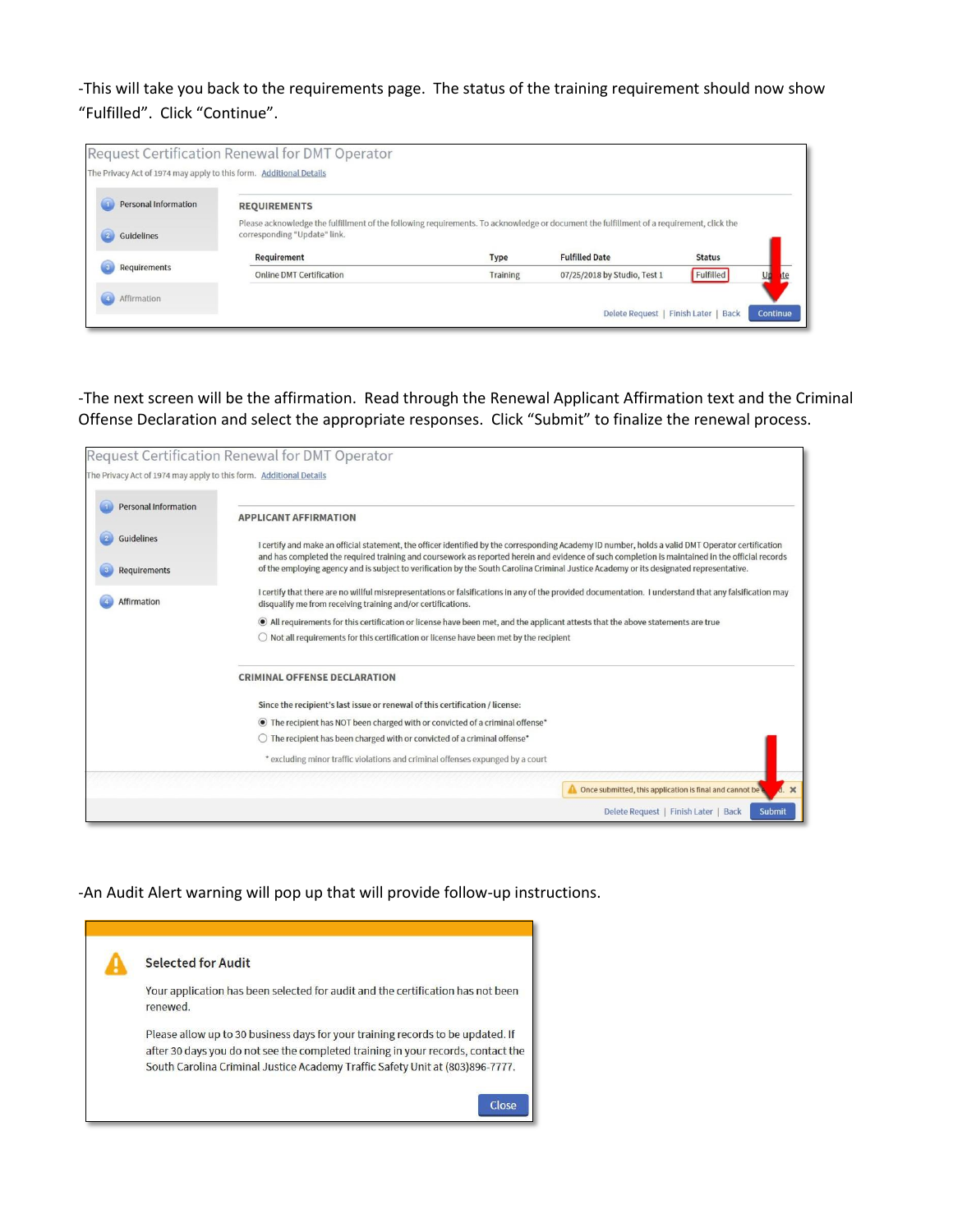-This will take you back to the requirements page. The status of the training requirement should now show "Fulfilled". Click "Continue".

| The Privacy Act of 1974 may apply to this form. Additional Details | Request Certification Renewal for DMT Operator                                                                                                                           |                 |                                      |               |          |
|--------------------------------------------------------------------|--------------------------------------------------------------------------------------------------------------------------------------------------------------------------|-----------------|--------------------------------------|---------------|----------|
| <b>Personal Information</b>                                        | <b>REQUIREMENTS</b>                                                                                                                                                      |                 |                                      |               |          |
| $\sqrt{2}$<br>Guidelines                                           | Please acknowledge the fulfillment of the following requirements. To acknowledge or document the fulfillment of a requirement, click the<br>corresponding "Update" link. |                 |                                      |               |          |
|                                                                    | Requirement                                                                                                                                                              | Type            | <b>Fulfilled Date</b>                | <b>Status</b> |          |
| Requirements<br>$\overline{\mathbf{3}}$                            | <b>Online DMT Certification</b>                                                                                                                                          | <b>Training</b> | 07/25/2018 by Studio, Test 1         | Fulfilled     | te       |
| Affirmation                                                        |                                                                                                                                                                          |                 | Delete Request   Finish Later   Back |               | Continue |

-The next screen will be the affirmation. Read through the Renewal Applicant Affirmation text and the Criminal Offense Declaration and select the appropriate responses. Click "Submit" to finalize the renewal process.

|                                                                    | Request Certification Renewal for DMT Operator                                                                                                                                                                                                                                                                                                                                                                                                  |
|--------------------------------------------------------------------|-------------------------------------------------------------------------------------------------------------------------------------------------------------------------------------------------------------------------------------------------------------------------------------------------------------------------------------------------------------------------------------------------------------------------------------------------|
| The Privacy Act of 1974 may apply to this form. Additional Details |                                                                                                                                                                                                                                                                                                                                                                                                                                                 |
| Personal Information                                               | <b>APPLICANT AFFIRMATION</b>                                                                                                                                                                                                                                                                                                                                                                                                                    |
| Guidelines<br>Requirements                                         | I certify and make an official statement, the officer identified by the corresponding Academy ID number, holds a valid DMT Operator certification<br>and has completed the required training and coursework as reported herein and evidence of such completion is maintained in the official records<br>of the employing agency and is subject to verification by the South Carolina Criminal Justice Academy or its designated representative. |
| Affirmation                                                        | I certify that there are no willful misrepresentations or falsifications in any of the provided documentation. I understand that any falsification may<br>disqualify me from receiving training and/or certifications.                                                                                                                                                                                                                          |
|                                                                    | If all requirements for this certification or license have been met, and the applicant attests that the above statements are true                                                                                                                                                                                                                                                                                                               |
|                                                                    | $\bigcirc$ Not all requirements for this certification or license have been met by the recipient                                                                                                                                                                                                                                                                                                                                                |
|                                                                    | <b>CRIMINAL OFFENSE DECLARATION</b>                                                                                                                                                                                                                                                                                                                                                                                                             |
|                                                                    | Since the recipient's last issue or renewal of this certification / license:                                                                                                                                                                                                                                                                                                                                                                    |
|                                                                    | • The recipient has NOT been charged with or convicted of a criminal offense*                                                                                                                                                                                                                                                                                                                                                                   |
|                                                                    | $\bigcirc$ The recipient has been charged with or convicted of a criminal offense*                                                                                                                                                                                                                                                                                                                                                              |
|                                                                    | * excluding minor traffic violations and criminal offenses expunged by a court                                                                                                                                                                                                                                                                                                                                                                  |
|                                                                    | Once submitted, this application is final and cannot be                                                                                                                                                                                                                                                                                                                                                                                         |
|                                                                    | Delete Request   Finish Later   Back<br>Submit                                                                                                                                                                                                                                                                                                                                                                                                  |

-An Audit Alert warning will pop up that will provide follow-up instructions.